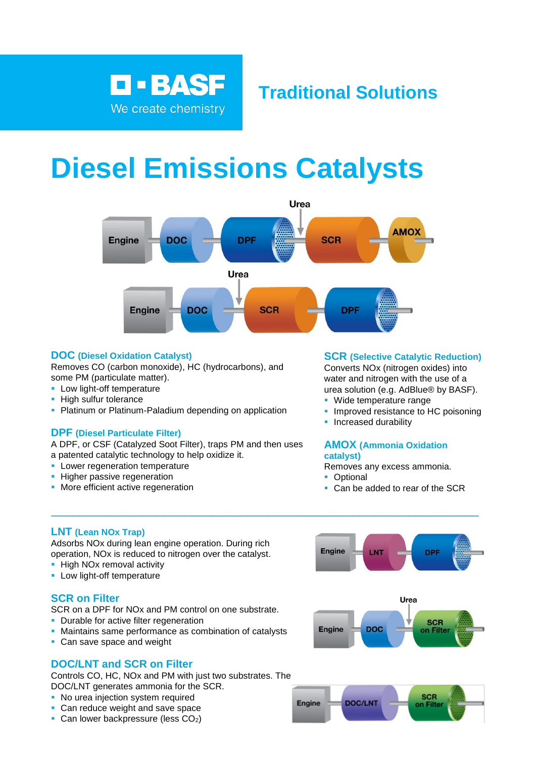

# **Traditional Solutions**

# **Diesel Emissions Catalysts**



 $\_$  , and the set of the set of the set of the set of the set of the set of the set of the set of the set of the set of the set of the set of the set of the set of the set of the set of the set of the set of the set of th

## **DOC (Diesel Oxidation Catalyst)**

Removes CO (carbon monoxide), HC (hydrocarbons), and some PM (particulate matter).

- **E** Low light-off temperature
- **· High sulfur tolerance**
- **Platinum or Platinum-Paladium depending on application**

## **DPF (Diesel Particulate Filter)**

A DPF, or CSF (Catalyzed Soot Filter), traps PM and then uses a patented catalytic technology to help oxidize it.

- **EXEC** Lower regeneration temperature
- **·** Higher passive regeneration
- **More efficient active regeneration**

#### **SCR (Selective Catalytic Reduction)**

Converts NOx (nitrogen oxides) into water and nitrogen with the use of a urea solution (e.g. AdBlue® by BASF).

- Wide temperature range
- **· Improved resistance to HC poisoning**
- **·** Increased durability

#### **AMOX (Ammonia Oxidation catalyst)**

Removes any excess ammonia.

- Optional
- Can be added to rear of the SCR

# **LNT (Lean NOx Trap)** \_\_\_\_

Adsorbs NOx during lean engine operation. During rich operation, NOx is reduced to nitrogen over the catalyst.

- **·** High NOx removal activity
- **E** Low light-off temperature

## **SCR on Filter**

SCR on a DPF for NOx and PM control on one substrate.

- **Durable for active filter regeneration**
- Maintains same performance as combination of catalysts
- Can save space and weight

# **DOC/LNT and SCR on Filter**

Controls CO, HC, NOx and PM with just two substrates. The DOC/LNT generates ammonia for the SCR.

- **No urea injection system required**
- Can reduce weight and save space
- **Can lower backpressure (less**  $CO<sub>2</sub>$ **)**